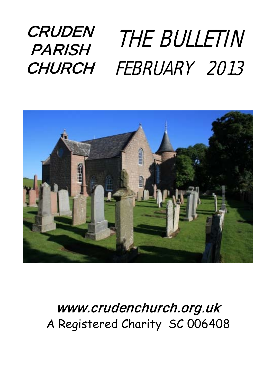### **CRUDEN PARISH** CHURCH FEBRUARY 2013 THE BULLETIN



### [www.crudenc](http://www.cruden/)hurch.org.uk A Registered Charity SC 006408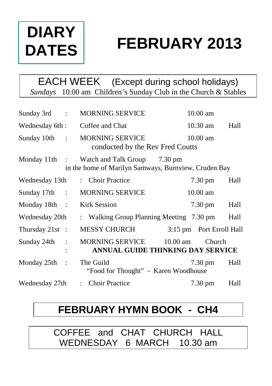## **DIARY DATES**

# **FEBRUARY 2013**

EACH WEEK (Except during school holidays) *Sundays* 10.00 am Children's Sunday Club in the Church & Stables

| Sunday 3rd :             |                      | <b>MORNING SERVICE</b>                                                               |            | 10.00 am                 |      |
|--------------------------|----------------------|--------------------------------------------------------------------------------------|------------|--------------------------|------|
| Wednesday 6th :          |                      | Coffee and Chat                                                                      |            | $10.30$ am               | Hall |
| Sunday 10th :            |                      | <b>MORNING SERVICE</b><br>conducted by the Rev Fred Coutts                           |            | $10.00$ am               |      |
| Monday 11th $\therefore$ |                      | Watch and Talk Group 7.30 pm<br>in the home of Marilyn Samways, Burnview, Cruden Bay |            |                          |      |
| Wednesday 13th           |                      | : Choir Practice                                                                     |            | $7.30 \text{ pm}$        | Hall |
| Sunday 17th :            |                      | <b>MORNING SERVICE</b>                                                               |            | $10.00$ am               |      |
| Monday 18th :            |                      | <b>Kirk Session</b>                                                                  |            | $7.30 \text{ pm}$        | Hall |
| Wednesday 20th           |                      | : Walking Group Planning Meeting 7.30 pm                                             |            |                          | Hall |
| Thursday 21st :          |                      | MESSY CHURCH                                                                         |            | 3:15 pm Port Erroll Hall |      |
| Sunday 24th              | $\ddot{\phantom{a}}$ | MORNING SERVICE<br>ANNUAL GUIDE THINKING DAY SERVICE                                 | $10.00$ am | <b>Church</b>            |      |
| Monday $25th$ :          |                      | The Guild<br>"Food for Thought" - Karen Woodhouse                                    |            | $7.30 \text{ pm}$        | Hall |
| Wednesday 27th           |                      | : Choir Practice                                                                     |            | $7.30 \text{ pm}$        | Hall |

### **FEBRUARY HYMN BOOK - CH4**

COFFEE and CHAT CHURCH HALL WEDNESDAY 6 MARCH 10.30 am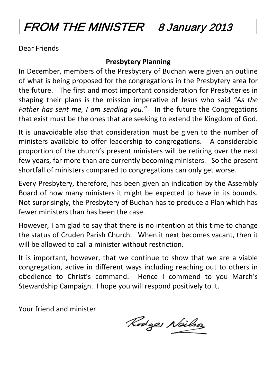### FROM THE MINISTER 8 January 2013

Dear Friends

#### **Presbytery Planning**

In December, members of the Presbytery of Buchan were given an outline of what is being proposed for the congregations in the Presbytery area for the future. The first and most important consideration for Presbyteries in shaping their plans is the mission imperative of Jesus who said *"As the Father has sent me, I am sending you."* In the future the Congregations that exist must be the ones that are seeking to extend the Kingdom of God.

It is unavoidable also that consideration must be given to the number of ministers available to offer leadership to congregations. A considerable proportion of the church's present ministers will be retiring over the next few years, far more than are currently becoming ministers. So the present shortfall of ministers compared to congregations can only get worse.

Every Presbytery, therefore, has been given an indication by the Assembly Board of how many ministers it might be expected to have in its bounds. Not surprisingly, the Presbytery of Buchan has to produce a Plan which has fewer ministers than has been the case.

However, I am glad to say that there is no intention at this time to change the status of Cruden Parish Church. When it next becomes vacant, then it will be allowed to call a minister without restriction.

It is important, however, that we continue to show that we are a viable congregation, active in different ways including reaching out to others in obedience to Christ's command. Hence I commend to you March's Stewardship Campaign. I hope you will respond positively to it.

Your friend and minister

Rodges Neils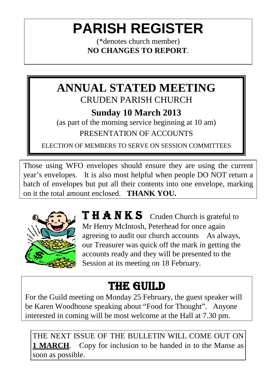## **PARISH REGISTER**

(\*denotes church member) **NO CHANGES TO REPORT**.

### **ANNUAL STATED MEETING** CRUDEN PARISH CHURCH

#### **Sunday 10 March 2013**

(as part of the morning service beginning at 10 am) PRESENTATION OF ACCOUNTS

ELECTION OF MEMBERS TO SERVE ON SESSION COMMITTEES

Those using WFO envelopes should ensure they are using the current year's envelopes. It is also most helpful when people DO NOT return a batch of envelopes but put all their contents into one envelope, marking on it the total amount enclosed. **THANK YOU.**



THANKS Cruden Church is grateful to Mr Henry McIntosh, Peterhead for once again agreeing to audit our church accounts As always, our Treasurer was quick off the mark in getting the accounts ready and they will be presented to the Session at its meeting on 18 February.

## THE GUILD

For the Guild meeting on Monday 25 February, the guest speaker will be Karen Woodhouse speaking about "Food for Thought". Anyone interested in coming will be most welcome at the Hall at 7.30 pm.

THE NEXT ISSUE OF THE BULLETIN WILL COME OUT ON **1 MARCH**. Copy for inclusion to be handed in to the Manse as soon as possible.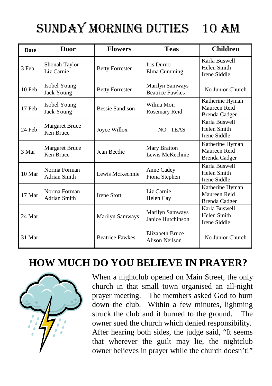## SUNDAY MORNING DUTIES 10 am

| <b>Date</b>       | Door                               | <b>Flowers</b>         | <b>Teas</b>                               | <b>Children</b>                                         |
|-------------------|------------------------------------|------------------------|-------------------------------------------|---------------------------------------------------------|
| 3 Feb             | Shonah Taylor<br>Liz Carnie        | <b>Betty Forrester</b> | Iris Durno<br>Elma Cumming                | Karla Buswell<br>Helen Smith<br>Irene Siddle            |
| 10 Feb            | Isobel Young<br><b>Jack Young</b>  | <b>Betty Forrester</b> | Marilyn Samways<br><b>Beatrice Fawkes</b> | No Junior Church                                        |
| 17 Feb            | Isobel Young<br>Jack Young         | Bessie Sandison        | Wilma Moir<br>Rosemary Reid               | Katherine Hyman<br>Maureen Reid<br><b>Brenda Cadger</b> |
| 24 Feb            | <b>Margaret Bruce</b><br>Ken Bruce | Joyce Willox           | NO TEAS                                   | Karla Buswell<br>Helen Smith<br>Irene Siddle            |
| 3 Mar             | <b>Margaret Bruce</b><br>Ken Bruce | Jean Beedie            | <b>Mary Bratton</b><br>Lewis McKechnie    | Katherine Hyman<br>Maureen Reid<br><b>Brenda Cadger</b> |
| 10 <sub>Mar</sub> | Norma Forman<br>Adrian Smith       | Lewis McKechnie        | Anne Cadey<br>Fiona Stephen               | Karla Buswell<br>Helen Smith<br>Irene Siddle            |
| 17 Mar            | Norma Forman<br>Adrian Smith       | <b>Irene Stott</b>     | Liz Carnie<br>Helen Cay                   | Katherine Hyman<br>Maureen Reid<br><b>Brenda Cadger</b> |
| 24 Mar            |                                    | Marilyn Samways        | Marilyn Samways<br>Janice Hutchinson      | Karla Buswell<br>Helen Smith<br>Irene Siddle            |
| 31 Mar            |                                    | <b>Beatrice Fawkes</b> | <b>Elizabeth Bruce</b><br>Alison Neilson  | No Junior Church                                        |

### **HOW MUCH DO YOU BELIEVE IN PRAYER?**



When a nightclub opened on Main Street, the only church in that small town organised an all-night prayer meeting. The members asked God to burn down the club. Within a few minutes, lightning struck the club and it burned to the ground. The owner sued the church which denied responsibility. After hearing both sides, the judge said, "It seems that wherever the guilt may lie, the nightclub owner believes in prayer while the church doesn't!"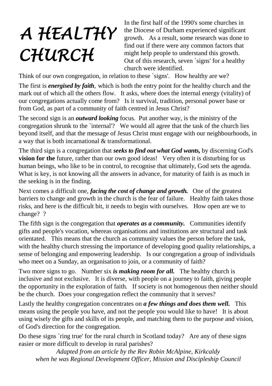# *A HEALTHY CHURCH*

In the first half of the 1990's some churches in the Diocese of Durham experienced significant growth. As a result, some research was done to find out if there were any common factors that might help people to understand this growth. Out of this research, seven `signs' for a healthy church were identified.

Think of our own congregation, in relation to these `signs'. How healthy are we?

The first is *energised by faith,* which is both the entry point for the healthy church and the mark out of which all the others flow. It asks, where does the internal energy (vitality) of our congregations actually come from? Is it survival, tradition, personal power base or from God, as part of a community of faith centred in Jesus Christ?

The second sign is an *outward looking* focus. Put another way, is the ministry of the congregation shrunk to the `internal'? We would all agree that the task of the church lies beyond itself, and that the message of Jesus Christ must engage with our neighbourhoods, in a way that is both incarnational & transformational.

The third sign is a congregation that *seeks to find out what God wants,* by discerning God's **vision for the** future, rather than our own good ideas! Very often it is disturbing for us human beings, who like to be in control, to recognise that ultimately, God sets the agenda. What is key, is not knowing all the answers in advance, for maturity of faith is as much in the seeking is in the finding.

Next comes a difficult one, *facing the cost of change and growth.* One of the greatest barriers to change and growth in the church is the fear of failure. Healthy faith takes those risks, and here is the difficult bit, it needs to begin with ourselves. How open are we to change? ?

The fifth sign is the congregation that *operates as a community.* Communities identify gifts and people's vocation, whereas organisations and institutions are structural and task orientated. This means that the church as community values the person before the task, with the healthy church stressing the importance of developing good quality relationships, a sense of belonging and empowering leadership. Is our congregation a group of individuals who meet on a Sunday, an organisation to join, or a community of faith?

Two more signs to go. Number six *is making room for all.* The healthy church is inclusive and not exclusive. It is diverse, with people on a journey to faith, giving people the opportunity in the exploration of faith. If society is not homogenous then neither should be the church. Does your congregation reflect the community that it serves?

Lastly the healthy congregation concentrates on *a few things and does them well.* This means using the people you have, and not the people you would like to have! It is about using wisely the gifts and skills of its people, and matching them to the purpose and vision, of God's direction for the congregation.

Do these signs `ring true' for the rural church in Scotland today? Are any of these signs easier or more difficult to develop in rural parishes?

*Adapted from an article by the Rev Robin McAlpine, Kirkcaldy when he was Regional Development Officer, Mission and Discipleship Council*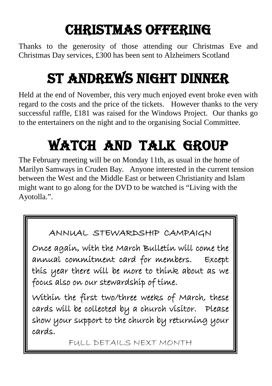## Christmas Offering

Thanks to the generosity of those attending our Christmas Eve and Christmas Day services, £300 has been sent to Alzheimers Scotland

## St Andrews Night Dinner

Held at the end of November, this very much enjoyed event broke even with regard to the costs and the price of the tickets. However thanks to the very successful raffle, £181 was raised for the Windows Project. Our thanks go to the entertainers on the night and to the organising Social Committee.

## Watch And Talk Group

The February meeting will be on Monday 11th, as usual in the home of Marilyn Samways in Cruden Bay. Anyone interested in the current tension between the West and the Middle East or between Christianity and Islam might want to go along for the DVD to be watched is "Living with the Ayotolla.".

#### ANNUAL STEWARDSHIP CAMPAIGN

Once again, with the March Bulletin will come the annual commitment card for members. Except this year there will be more to think about as we focus also on our stewardship of time.

Within the first two/three weeks of March, these cards will be collected by a church visitor. Please show your support to the church by returning your cards.

FULL DETAILS NEXT MONTH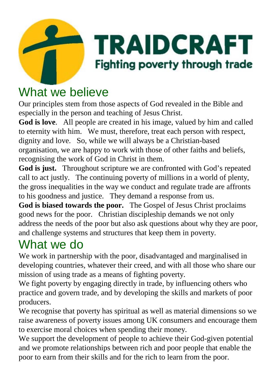

### What we believe

Our principles stem from those aspects of God revealed in the Bible and especially in the person and teaching of Jesus Christ.

**God is love**. All people are created in his image, valued by him and called to eternity with him. We must, therefore, treat each person with respect, dignity and love. So, while we will always be a Christian-based organisation, we are happy to work with those of other faiths and beliefs, recognising the work of God in Christ in them.

**God is just.** Throughout scripture we are confronted with God's repeated call to act justly. The continuing poverty of millions in a world of plenty, the gross inequalities in the way we conduct and regulate trade are affronts to his goodness and justice. They demand a response from us.

**God is biased towards the poor.** The Gospel of Jesus Christ proclaims good news for the poor. Christian discipleship demands we not only address the needs of the poor but also ask questions about why they are poor, and challenge systems and structures that keep them in poverty.

### What we do

We work in partnership with the poor, disadvantaged and marginalised in developing countries, whatever their creed, and with all those who share our mission of using trade as a means of fighting poverty.

We fight poverty by engaging directly in trade, by influencing others who practice and govern trade, and by developing the skills and markets of poor producers.

We recognise that poverty has spiritual as well as material dimensions so we raise awareness of poverty issues among UK consumers and encourage them to exercise moral choices when spending their money.

We support the development of people to achieve their God-given potential and we promote relationships between rich and poor people that enable the poor to earn from their skills and for the rich to learn from the poor.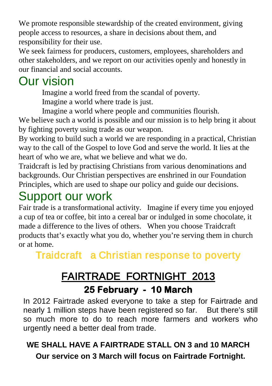We promote responsible stewardship of the created environment, giving people access to resources, a share in decisions about them, and responsibility for their use.

We seek fairness for producers, customers, employees, shareholders and other stakeholders, and we report on our activities openly and honestly in our financial and social accounts.

### Our vision

Imagine a world freed from the scandal of poverty. Imagine a world where trade is just.

Imagine a world where people and communities flourish. We believe such a world is possible and our mission is to help bring it about by fighting poverty using trade as our weapon.

By working to build such a world we are responding in a practical, Christian way to the call of the Gospel to love God and serve the world. It lies at the heart of who we are, what we believe and what we do.

Traidcraft is led by practising Christians from various denominations and backgrounds. Our Christian perspectives are enshrined in our Foundation Principles, which are used to shape our policy and guide our decisions.

### Support our work

Fair trade is a transformational activity. Imagine if every time you enjoyed a cup of tea or coffee, bit into a cereal bar or indulged in some chocolate, it made a difference to the lives of others. When you choose Traidcraft products that's exactly what you do, whether you're serving them in church or at home.

Traidcraft a Christian response to poverty

### FAIRTRADE FORTNIGHT 2013 **25 February - 10 March**

In 2012 Fairtrade asked everyone to take a step for Fairtrade and nearly 1 million steps have been registered so far. But there's still so much more to do to reach more farmers and workers who urgently need a better deal from trade.

#### **WE SHALL HAVE A FAIRTRADE STALL ON 3 and 10 MARCH Our service on 3 March will focus on Fairtrade Fortnight.**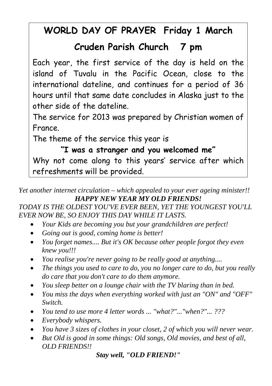#### **WORLD DAY OF PRAYER Friday 1 March**

#### **Cruden Parish Church 7 pm**

Each year, the first service of the day is held on the island of Tuvalu in the Pacific Ocean, close to the international dateline, and continues for a period of 36 hours until that same date concludes in Alaska just to the other side of the dateline.

The service for 2013 was prepared by Christian women of France.

The theme of the service this year is

**"I was a stranger and you welcomed me"**  Why not come along to this years' service after which refreshments will be provided.

*Yet another internet circulation – which appealed to your ever ageing minister!! HAPPY NEW YEAR MY OLD FRIENDS!*

#### *TODAY IS THE OLDEST YOU'VE EVER BEEN, YET THE YOUNGEST YOU'LL EVER NOW BE, SO ENJOY THIS DAY WHILE IT LASTS.*

- *Your Kids are becoming you but your grandchildren are perfect!*
- *Going out is good, coming home is better!*
- *You forget names.... But it's OK because other people forgot they even knew you!!!*
- *You realise you're never going to be really good at anything....*
- *The things you used to care to do, you no longer care to do, but you really do care that you don't care to do them anymore.*
- *You sleep better on a lounge chair with the TV blaring than in bed.*
- *You miss the days when everything worked with just an "ON" and "OFF" Switch.*
- *You tend to use more 4 letter words ... "what?"..."when?"... ???*
- *Everybody whispers.*
- *You have 3 sizes of clothes in your closet, 2 of which you will never wear.*
- *But Old is good in some things: Old songs, Old movies, and best of all, OLD FRIENDS!!*

*Stay well, "OLD FRIEND!"*